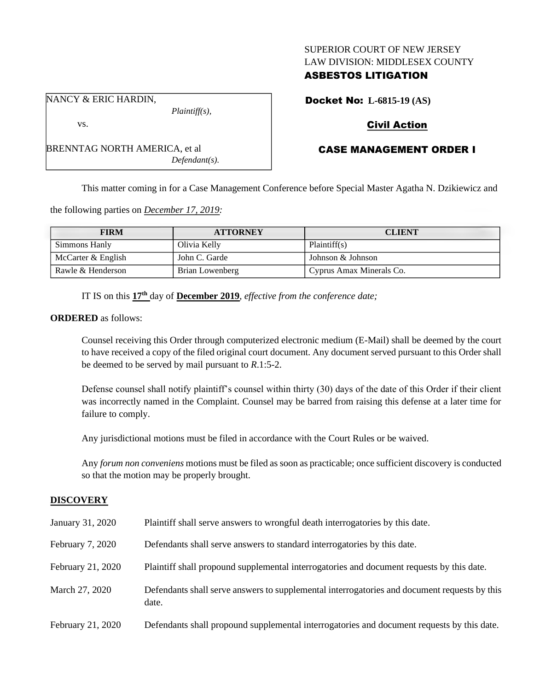### SUPERIOR COURT OF NEW JERSEY LAW DIVISION: MIDDLESEX COUNTY

## ASBESTOS LITIGATION

Docket No: **L-6815-19 (AS)**

# Civil Action

# CASE MANAGEMENT ORDER I

This matter coming in for a Case Management Conference before Special Master Agatha N. Dzikiewicz and

the following parties on *December 17, 2019:*

BRENNTAG NORTH AMERICA, et al

| <b>FIRM</b>        | <b>ATTORNEY</b> | <b>CLIENT</b>            |
|--------------------|-----------------|--------------------------|
| Simmons Hanly      | Olivia Kelly    | Plaintiff(s)             |
| McCarter & English | John C. Garde   | Johnson & Johnson        |
| Rawle & Henderson  | Brian Lowenberg | Cyprus Amax Minerals Co. |

IT IS on this **17th** day of **December 2019**, *effective from the conference date;*

**ORDERED** as follows:

Counsel receiving this Order through computerized electronic medium (E-Mail) shall be deemed by the court to have received a copy of the filed original court document. Any document served pursuant to this Order shall be deemed to be served by mail pursuant to *R*.1:5-2.

Defense counsel shall notify plaintiff's counsel within thirty (30) days of the date of this Order if their client was incorrectly named in the Complaint. Counsel may be barred from raising this defense at a later time for failure to comply.

Any jurisdictional motions must be filed in accordance with the Court Rules or be waived.

Any *forum non conveniens* motions must be filed as soon as practicable; once sufficient discovery is conducted so that the motion may be properly brought.

#### **DISCOVERY**

| January 31, 2020  | Plaintiff shall serve answers to wrongful death interrogatories by this date.                         |
|-------------------|-------------------------------------------------------------------------------------------------------|
| February 7, 2020  | Defendants shall serve answers to standard interrogatories by this date.                              |
| February 21, 2020 | Plaintiff shall propound supplemental interrogatories and document requests by this date.             |
| March 27, 2020    | Defendants shall serve answers to supplemental interrogatories and document requests by this<br>date. |
| February 21, 2020 | Defendants shall propound supplemental interrogatories and document requests by this date.            |

NANCY & ERIC HARDIN,

vs.

*Plaintiff(s),*

*Defendant(s).*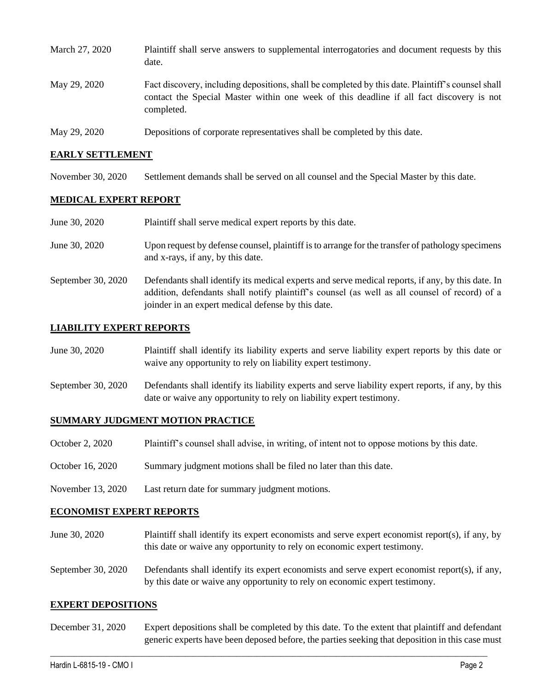| March 27, 2020 | Plaintiff shall serve answers to supplemental interrogatories and document requests by this<br>date.                                                                                                        |
|----------------|-------------------------------------------------------------------------------------------------------------------------------------------------------------------------------------------------------------|
| May 29, 2020   | Fact discovery, including depositions, shall be completed by this date. Plaintiff's counsel shall<br>contact the Special Master within one week of this deadline if all fact discovery is not<br>completed. |
| May 29, 2020   | Depositions of corporate representatives shall be completed by this date.                                                                                                                                   |

#### **EARLY SETTLEMENT**

November 30, 2020 Settlement demands shall be served on all counsel and the Special Master by this date.

#### **MEDICAL EXPERT REPORT**

| June 30, 2020      | Plaintiff shall serve medical expert reports by this date.                                                                                                                                                                                               |
|--------------------|----------------------------------------------------------------------------------------------------------------------------------------------------------------------------------------------------------------------------------------------------------|
| June 30, 2020      | Upon request by defense counsel, plaintiff is to arrange for the transfer of pathology specimens<br>and x-rays, if any, by this date.                                                                                                                    |
| September 30, 2020 | Defendants shall identify its medical experts and serve medical reports, if any, by this date. In<br>addition, defendants shall notify plaintiff's counsel (as well as all counsel of record) of a<br>joinder in an expert medical defense by this date. |

### **LIABILITY EXPERT REPORTS**

| June 30, 2020 | Plaintiff shall identify its liability experts and serve liability expert reports by this date or |
|---------------|---------------------------------------------------------------------------------------------------|
|               | waive any opportunity to rely on liability expert testimony.                                      |

September 30, 2020 Defendants shall identify its liability experts and serve liability expert reports, if any, by this date or waive any opportunity to rely on liability expert testimony.

#### **SUMMARY JUDGMENT MOTION PRACTICE**

- October 2, 2020 Plaintiff's counsel shall advise, in writing, of intent not to oppose motions by this date.
- October 16, 2020 Summary judgment motions shall be filed no later than this date.
- November 13, 2020 Last return date for summary judgment motions.

#### **ECONOMIST EXPERT REPORTS**

- June 30, 2020 Plaintiff shall identify its expert economists and serve expert economist report(s), if any, by this date or waive any opportunity to rely on economic expert testimony.
- September 30, 2020 Defendants shall identify its expert economists and serve expert economist report(s), if any, by this date or waive any opportunity to rely on economic expert testimony.

#### **EXPERT DEPOSITIONS**

December 31, 2020 Expert depositions shall be completed by this date. To the extent that plaintiff and defendant generic experts have been deposed before, the parties seeking that deposition in this case must

 $\_$  , and the set of the set of the set of the set of the set of the set of the set of the set of the set of the set of the set of the set of the set of the set of the set of the set of the set of the set of the set of th